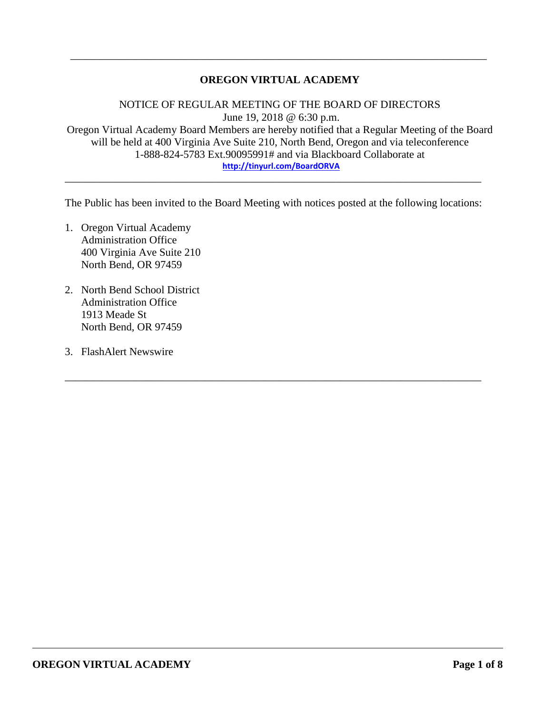# **OREGON VIRTUAL ACADEMY**

\_\_\_\_\_\_\_\_\_\_\_\_\_\_\_\_\_\_\_\_\_\_\_\_\_\_\_\_\_\_\_\_\_\_\_\_\_\_\_\_\_\_\_\_\_\_\_\_\_\_\_\_\_\_\_\_\_\_\_\_\_\_\_\_\_\_\_\_\_\_\_\_\_\_\_\_\_

NOTICE OF REGULAR MEETING OF THE BOARD OF DIRECTORS June 19, 2018 @ 6:30 p.m. Oregon Virtual Academy Board Members are hereby notified that a Regular Meeting of the Board will be held at 400 Virginia Ave Suite 210, North Bend, Oregon and via teleconference 1-888-824-5783 Ext.90095991# and via Blackboard Collaborate at **<http://tinyurl.com/BoardORVA>**

The Public has been invited to the Board Meeting with notices posted at the following locations:

\_\_\_\_\_\_\_\_\_\_\_\_\_\_\_\_\_\_\_\_\_\_\_\_\_\_\_\_\_\_\_\_\_\_\_\_\_\_\_\_\_\_\_\_\_\_\_\_\_\_\_\_\_\_\_\_\_\_\_\_\_\_\_\_\_\_\_\_\_\_\_\_\_\_\_\_\_

\_\_\_\_\_\_\_\_\_\_\_\_\_\_\_\_\_\_\_\_\_\_\_\_\_\_\_\_\_\_\_\_\_\_\_\_\_\_\_\_\_\_\_\_\_\_\_\_\_\_\_\_\_\_\_\_\_\_\_\_\_\_\_\_\_\_\_\_\_\_\_\_\_\_\_\_\_

- 1. Oregon Virtual Academy Administration Office 400 Virginia Ave Suite 210 North Bend, OR 97459
- 2. North Bend School District Administration Office 1913 Meade St North Bend, OR 97459
- 3. FlashAlert Newswire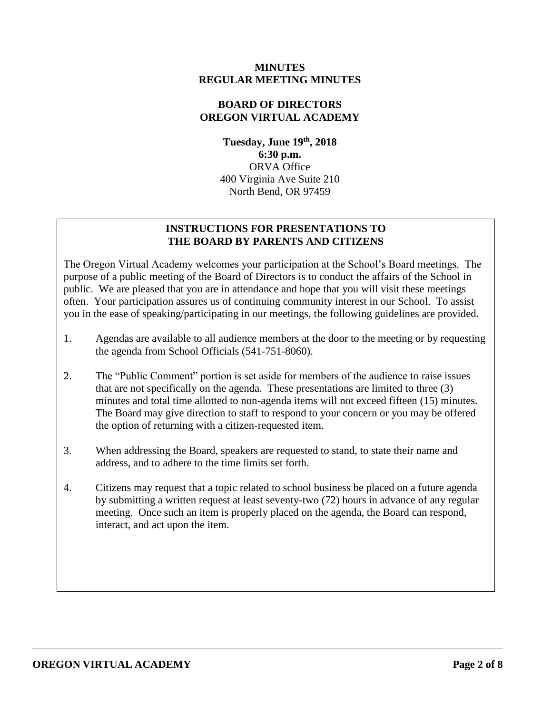## **MINUTES REGULAR MEETING MINUTES**

## **BOARD OF DIRECTORS OREGON VIRTUAL ACADEMY**

**Tuesday, June 19 th , 2018 6:30 p.m.** ORVA Office 400 Virginia Ave Suite 210 North Bend, OR 97459

# **INSTRUCTIONS FOR PRESENTATIONS TO THE BOARD BY PARENTS AND CITIZENS**

The Oregon Virtual Academy welcomes your participation at the School's Board meetings. The purpose of a public meeting of the Board of Directors is to conduct the affairs of the School in public. We are pleased that you are in attendance and hope that you will visit these meetings often. Your participation assures us of continuing community interest in our School. To assist you in the ease of speaking/participating in our meetings, the following guidelines are provided.

- 1. Agendas are available to all audience members at the door to the meeting or by requesting the agenda from School Officials (541-751-8060).
- 2. The "Public Comment" portion is set aside for members of the audience to raise issues that are not specifically on the agenda. These presentations are limited to three (3) minutes and total time allotted to non-agenda items will not exceed fifteen (15) minutes. The Board may give direction to staff to respond to your concern or you may be offered the option of returning with a citizen-requested item.
- 3. When addressing the Board, speakers are requested to stand, to state their name and address, and to adhere to the time limits set forth.
- 4. Citizens may request that a topic related to school business be placed on a future agenda by submitting a written request at least seventy-two (72) hours in advance of any regular meeting. Once such an item is properly placed on the agenda, the Board can respond, interact, and act upon the item.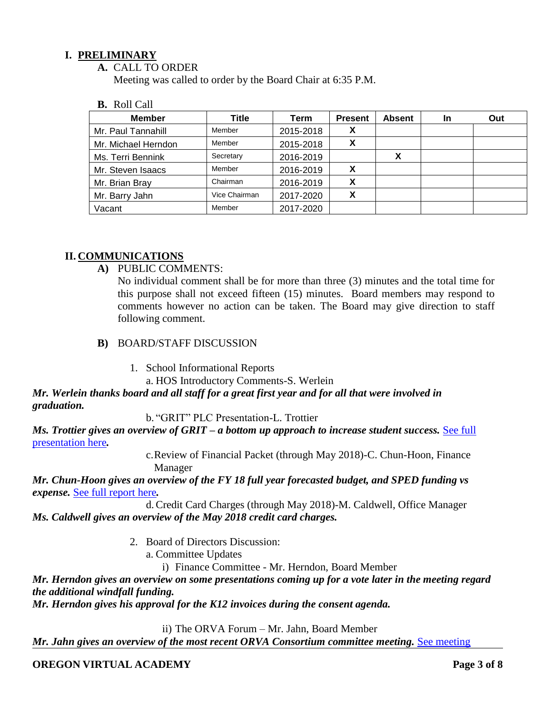# **I. PRELIMINARY**

**A.** CALL TO ORDER

Meeting was called to order by the Board Chair at 6:35 P.M.

#### **B.** Roll Call

| <b>Member</b>       | Title         | Term      | <b>Present</b> | <b>Absent</b> | <b>In</b> | Out |
|---------------------|---------------|-----------|----------------|---------------|-----------|-----|
| Mr. Paul Tannahill  | Member        | 2015-2018 | Х              |               |           |     |
| Mr. Michael Herndon | Member        | 2015-2018 | х              |               |           |     |
| Ms. Terri Bennink   | Secretary     | 2016-2019 |                | х             |           |     |
| Mr. Steven Isaacs   | Member        | 2016-2019 |                |               |           |     |
| Mr. Brian Bray      | Chairman      | 2016-2019 | X              |               |           |     |
| Mr. Barry Jahn      | Vice Chairman | 2017-2020 | X              |               |           |     |
| Vacant              | Member        | 2017-2020 |                |               |           |     |

# **II. COMMUNICATIONS**

**A)** PUBLIC COMMENTS:

No individual comment shall be for more than three (3) minutes and the total time for this purpose shall not exceed fifteen (15) minutes. Board members may respond to comments however no action can be taken. The Board may give direction to staff following comment.

- **B)** BOARD/STAFF DISCUSSION
	- 1. School Informational Reports

a. HOS Introductory Comments-S. Werlein

# *Mr. Werlein thanks board and all staff for a great first year and for all that were involved in graduation.*

b. "GRIT" PLC Presentation-L. Trottier

*Ms. Trottier gives an overview of GRIT – a bottom up approach to increase student success.* [See full](https://drive.google.com/file/d/1MnvVazhtbaJ933bD4rw0SNyOIna1M4Sh/view?usp=sharing)  [presentation here](https://drive.google.com/file/d/1MnvVazhtbaJ933bD4rw0SNyOIna1M4Sh/view?usp=sharing)*.*

> c.Review of Financial Packet (through May 2018)-C. Chun-Hoon, Finance Manager

*Mr. Chun-Hoon gives an overview of the FY 18 full year forecasted budget, and SPED funding vs expense.* [See full report here](https://drive.google.com/file/d/1W_CL6MkpTEZ1xBDvD54uiX1VmBf3--6u/view?usp=sharing)*.* 

d.Credit Card Charges (through May 2018)-M. Caldwell, Office Manager *Ms. Caldwell gives an overview of the May 2018 credit card charges.* 

- 2. Board of Directors Discussion:
	- a. Committee Updates

i) Finance Committee - Mr. Herndon, Board Member

*Mr. Herndon gives an overview on some presentations coming up for a vote later in the meeting regard the additional windfall funding.* 

*Mr. Herndon gives his approval for the K12 invoices during the consent agenda.* 

ii) The ORVA Forum – Mr. Jahn, Board Member

*Mr. Jahn gives an overview of the most recent ORVA Consortium committee meeting. See meeting* 

### **OREGON VIRTUAL ACADEMY Page 3 of 8**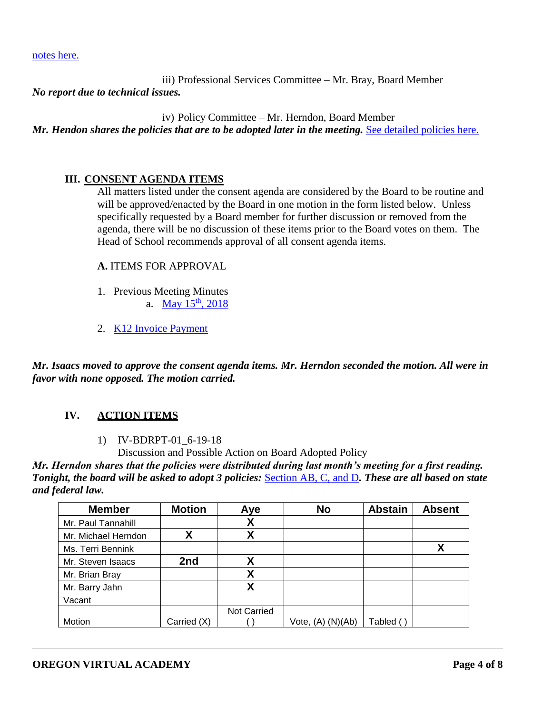[notes here.](https://drive.google.com/file/d/15QGPLQyGnlIf83Mb7V_jv9AA1rPluB-a/view?usp=sharing)

iii) Professional Services Committee – Mr. Bray, Board Member

*No report due to technical issues.* 

iv) Policy Committee – Mr. Herndon, Board Member *Mr. Hendon shares the policies that are to be adopted later in the meeting. [See detailed policies here.](https://drive.google.com/open?id=1fxiuT3VOgNCfHShcBDtDtupHP23BnDA5)* 

### **III. CONSENT AGENDA ITEMS**

All matters listed under the consent agenda are considered by the Board to be routine and will be approved/enacted by the Board in one motion in the form listed below. Unless specifically requested by a Board member for further discussion or removed from the agenda, there will be no discussion of these items prior to the Board votes on them. The Head of School recommends approval of all consent agenda items.

**A.** ITEMS FOR APPROVAL

- 1. Previous Meeting Minutes a. May 15<sup>th</sup>[, 2018](https://drive.google.com/file/d/1hF98AOliztlQbERbtgc_yLuAL441dHOy/view?usp=sharing)
- 2. [K12 Invoice Payment](https://drive.google.com/file/d/1NpRBnFW9grJHM0DIzmXh-xN6tx7Us6Yu/view?usp=sharing)

*Mr. Isaacs moved to approve the consent agenda items. Mr. Herndon seconded the motion. All were in favor with none opposed. The motion carried.* 

### **IV. ACTION ITEMS**

#### 1) IV-BDRPT-01\_6-19-18

Discussion and Possible Action on Board Adopted Policy

*Mr. Herndon shares that the policies were distributed during last month's meeting for a first reading. Tonight, the board will be asked to adopt 3 policies:* [Section AB, C, and D](https://drive.google.com/drive/folders/1fxiuT3VOgNCfHShcBDtDtupHP23BnDA5?usp=sharing)*. These are all based on state and federal law.* 

| <b>Member</b>       | <b>Motion</b> | Aye                | <b>No</b>         | <b>Abstain</b> | <b>Absent</b> |
|---------------------|---------------|--------------------|-------------------|----------------|---------------|
| Mr. Paul Tannahill  |               | χ                  |                   |                |               |
| Mr. Michael Herndon | Χ             | χ                  |                   |                |               |
| Ms. Terri Bennink   |               |                    |                   |                | χ             |
| Mr. Steven Isaacs   | 2nd           | X                  |                   |                |               |
| Mr. Brian Bray      |               | Χ                  |                   |                |               |
| Mr. Barry Jahn      |               | X                  |                   |                |               |
| Vacant              |               |                    |                   |                |               |
|                     |               | <b>Not Carried</b> |                   |                |               |
| Motion              | Carried (X)   |                    | Vote, (A) (N)(Ab) | Tabled (       |               |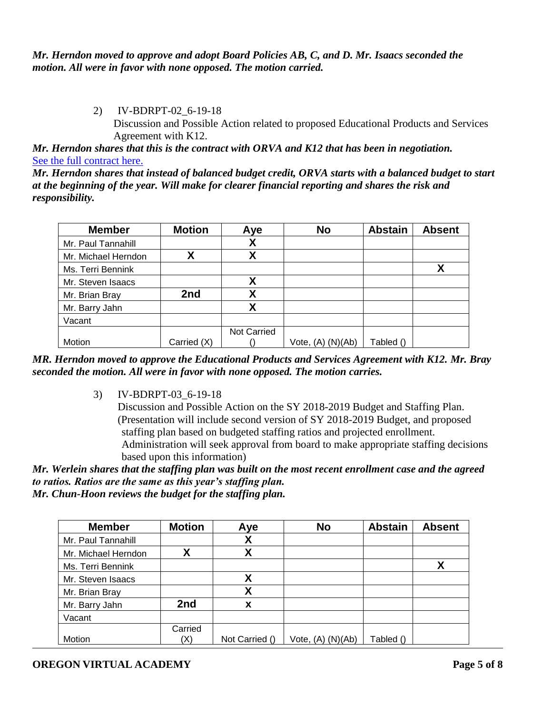# *Mr. Herndon moved to approve and adopt Board Policies AB, C, and D. Mr. Isaacs seconded the motion. All were in favor with none opposed. The motion carried.*

# 2) IV-BDRPT-02\_6-19-18

Discussion and Possible Action related to proposed Educational Products and Services Agreement with K12.

*Mr. Herndon shares that this is the contract with ORVA and K12 that has been in negotiation.*  [See the full contract here.](https://drive.google.com/file/d/1hFqtJ_Q9ijaz6hZHuJgR538lN_QTaBC0/view?usp=sharing)

*Mr. Herndon shares that instead of balanced budget credit, ORVA starts with a balanced budget to start at the beginning of the year. Will make for clearer financial reporting and shares the risk and responsibility.* 

| <b>Member</b>       | <b>Motion</b> | Aye                | <b>No</b>         | <b>Abstain</b> | <b>Absent</b> |
|---------------------|---------------|--------------------|-------------------|----------------|---------------|
| Mr. Paul Tannahill  |               | Χ                  |                   |                |               |
| Mr. Michael Herndon | Χ             | v                  |                   |                |               |
| Ms. Terri Bennink   |               |                    |                   |                |               |
| Mr. Steven Isaacs   |               | χ                  |                   |                |               |
| Mr. Brian Bray      | 2nd           | X                  |                   |                |               |
| Mr. Barry Jahn      |               | Χ                  |                   |                |               |
| Vacant              |               |                    |                   |                |               |
|                     |               | <b>Not Carried</b> |                   |                |               |
| Motion              | Carried (X)   |                    | Vote, (A) (N)(Ab) | Tabled ()      |               |

*MR. Herndon moved to approve the Educational Products and Services Agreement with K12. Mr. Bray seconded the motion. All were in favor with none opposed. The motion carries.* 

3) IV-BDRPT-03\_6-19-18

Discussion and Possible Action on the SY 2018-2019 Budget and Staffing Plan. (Presentation will include second version of SY 2018-2019 Budget, and proposed staffing plan based on budgeted staffing ratios and projected enrollment. Administration will seek approval from board to make appropriate staffing decisions based upon this information)

*Mr. Werlein shares that the staffing plan was built on the most recent enrollment case and the agreed to ratios. Ratios are the same as this year's staffing plan.* 

*Mr. Chun-Hoon reviews the budget for the staffing plan.* 

| <b>Member</b>       | <b>Motion</b> | Aye            | <b>No</b>         | <b>Abstain</b> | <b>Absent</b> |
|---------------------|---------------|----------------|-------------------|----------------|---------------|
| Mr. Paul Tannahill  |               | X              |                   |                |               |
| Mr. Michael Herndon | Χ             | χ              |                   |                |               |
| Ms. Terri Bennink   |               |                |                   |                |               |
| Mr. Steven Isaacs   |               | X              |                   |                |               |
| Mr. Brian Bray      |               | χ              |                   |                |               |
| Mr. Barry Jahn      | 2nd           | х              |                   |                |               |
| Vacant              |               |                |                   |                |               |
|                     | Carried       |                |                   |                |               |
| Motion              | (X)           | Not Carried () | Vote, (A) (N)(Ab) | Tabled ()      |               |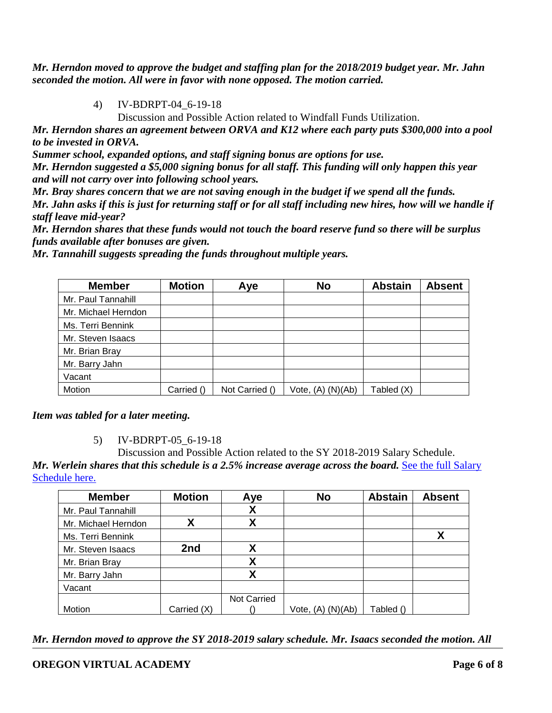*Mr. Herndon moved to approve the budget and staffing plan for the 2018/2019 budget year. Mr. Jahn seconded the motion. All were in favor with none opposed. The motion carried.* 

4) IV-BDRPT-04\_6-19-18

Discussion and Possible Action related to Windfall Funds Utilization.

*Mr. Herndon shares an agreement between ORVA and K12 where each party puts \$300,000 into a pool to be invested in ORVA.* 

*Summer school, expanded options, and staff signing bonus are options for use.* 

*Mr. Herndon suggested a \$5,000 signing bonus for all staff. This funding will only happen this year and will not carry over into following school years.* 

*Mr. Bray shares concern that we are not saving enough in the budget if we spend all the funds.* 

*Mr. Jahn asks if this is just for returning staff or for all staff including new hires, how will we handle if staff leave mid-year?*

*Mr. Herndon shares that these funds would not touch the board reserve fund so there will be surplus funds available after bonuses are given.*

| <b>Member</b>       | <b>Motion</b> | Aye            | <b>No</b>             | <b>Abstain</b> | <b>Absent</b> |
|---------------------|---------------|----------------|-----------------------|----------------|---------------|
| Mr. Paul Tannahill  |               |                |                       |                |               |
| Mr. Michael Herndon |               |                |                       |                |               |
| Ms. Terri Bennink   |               |                |                       |                |               |
| Mr. Steven Isaacs   |               |                |                       |                |               |
| Mr. Brian Bray      |               |                |                       |                |               |
| Mr. Barry Jahn      |               |                |                       |                |               |
| Vacant              |               |                |                       |                |               |
| Motion              | Carried ()    | Not Carried () | Vote, $(A)$ $(N)(Ab)$ | Tabled (X)     |               |

*Mr. Tannahill suggests spreading the funds throughout multiple years.* 

*Item was tabled for a later meeting.* 

5) IV-BDRPT-05\_6-19-18

Discussion and Possible Action related to the SY 2018-2019 Salary Schedule. *Mr. Werlein shares that this schedule is a 2.5% increase average across the board. See the full Salary* [Schedule here.](https://drive.google.com/file/d/1-NtvFi2iBAC3EEqyBK7ESy9mt4g_7wBj/view?usp=sharing)

| <b>Member</b>       | <b>Motion</b> | Aye         | <b>No</b>             | <b>Abstain</b> | <b>Absent</b> |
|---------------------|---------------|-------------|-----------------------|----------------|---------------|
| Mr. Paul Tannahill  |               | χ           |                       |                |               |
| Mr. Michael Herndon | Χ             | χ           |                       |                |               |
| Ms. Terri Bennink   |               |             |                       |                | X             |
| Mr. Steven Isaacs   | 2nd           | Χ           |                       |                |               |
| Mr. Brian Bray      |               | Χ           |                       |                |               |
| Mr. Barry Jahn      |               | Χ           |                       |                |               |
| Vacant              |               |             |                       |                |               |
|                     |               | Not Carried |                       |                |               |
| Motion              | Carried (X)   |             | Vote, $(A)$ $(N)(Ab)$ | Tabled ()      |               |

*Mr. Herndon moved to approve the SY 2018-2019 salary schedule. Mr. Isaacs seconded the motion. All* 

# **OREGON VIRTUAL ACADEMY Page 6 of 8**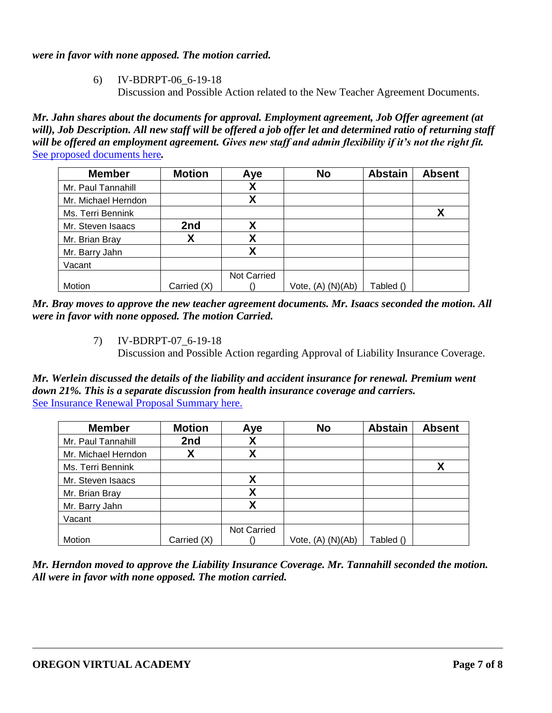# *were in favor with none apposed. The motion carried.*

6) IV-BDRPT-06\_6-19-18 Discussion and Possible Action related to the New Teacher Agreement Documents.

*Mr. Jahn shares about the documents for approval. Employment agreement, Job Offer agreement (at will), Job Description. All new staff will be offered a job offer let and determined ratio of returning staff will be offered an employment agreement. Gives new staff and admin flexibility if it's not the right fit.*  [See proposed documents here](https://drive.google.com/drive/folders/11uirRg8g59UKY5dmkc4OPr4oIpTixns9?usp=sharing)*.* 

| <b>Member</b>       | <b>Motion</b> | Aye         | <b>No</b>             | <b>Abstain</b> | <b>Absent</b> |
|---------------------|---------------|-------------|-----------------------|----------------|---------------|
| Mr. Paul Tannahill  |               | Χ           |                       |                |               |
| Mr. Michael Herndon |               | Χ           |                       |                |               |
| Ms. Terri Bennink   |               |             |                       |                |               |
| Mr. Steven Isaacs   | 2nd           | χ           |                       |                |               |
| Mr. Brian Bray      | χ             | Χ           |                       |                |               |
| Mr. Barry Jahn      |               | Χ           |                       |                |               |
| Vacant              |               |             |                       |                |               |
|                     |               | Not Carried |                       |                |               |
| Motion              | Carried (X)   |             | Vote, $(A)$ $(N)(Ab)$ | Tabled ()      |               |

*Mr. Bray moves to approve the new teacher agreement documents. Mr. Isaacs seconded the motion. All were in favor with none opposed. The motion Carried.* 

7) IV-BDRPT-07\_6-19-18

Discussion and Possible Action regarding Approval of Liability Insurance Coverage.

*Mr. Werlein discussed the details of the liability and accident insurance for renewal. Premium went down 21%. This is a separate discussion from health insurance coverage and carriers.*  [See Insurance Renewal Proposal Summary here.](https://drive.google.com/file/d/1bM7EKqJF9M8qApqKkduOKGs7NDITLxl_/view?usp=sharing)

| <b>Member</b>       | <b>Motion</b> | Aye                | <b>No</b>         | <b>Abstain</b> | <b>Absent</b> |
|---------------------|---------------|--------------------|-------------------|----------------|---------------|
| Mr. Paul Tannahill  | 2nd           | Λ                  |                   |                |               |
| Mr. Michael Herndon | χ             | Χ                  |                   |                |               |
| Ms. Terri Bennink   |               |                    |                   |                | Χ             |
| Mr. Steven Isaacs   |               | Χ                  |                   |                |               |
| Mr. Brian Bray      |               | χ                  |                   |                |               |
| Mr. Barry Jahn      |               | χ                  |                   |                |               |
| Vacant              |               |                    |                   |                |               |
|                     |               | <b>Not Carried</b> |                   |                |               |
| Motion              | Carried (X)   |                    | Vote, (A) (N)(Ab) | Tabled ()      |               |

*Mr. Herndon moved to approve the Liability Insurance Coverage. Mr. Tannahill seconded the motion. All were in favor with none opposed. The motion carried.*